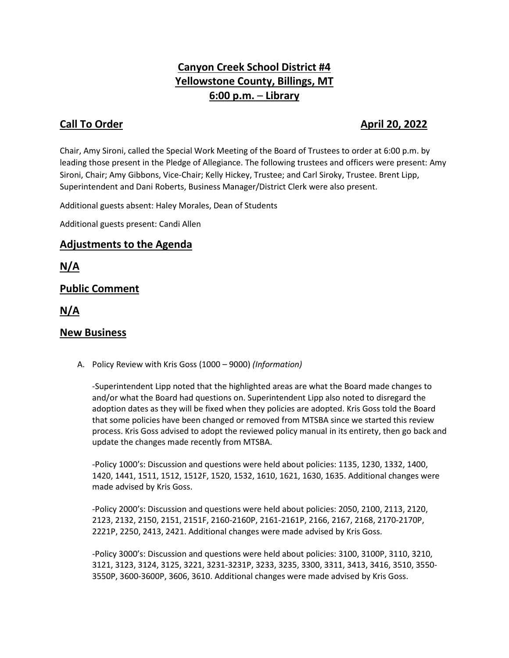# **Canyon Creek School District #4 Yellowstone County, Billings, MT 6:00 p.m.** – **Library**

# **Call To Order April 20, 2022**

Chair, Amy Sironi, called the Special Work Meeting of the Board of Trustees to order at 6:00 p.m. by leading those present in the Pledge of Allegiance. The following trustees and officers were present: Amy Sironi, Chair; Amy Gibbons, Vice-Chair; Kelly Hickey, Trustee; and Carl Siroky, Trustee. Brent Lipp, Superintendent and Dani Roberts, Business Manager/District Clerk were also present.

Additional guests absent: Haley Morales, Dean of Students

Additional guests present: Candi Allen

## **Adjustments to the Agenda**

**N/A**

**Public Comment**

**N/A**

## **New Business**

A. Policy Review with Kris Goss (1000 – 9000) *(Information)*

-Superintendent Lipp noted that the highlighted areas are what the Board made changes to and/or what the Board had questions on. Superintendent Lipp also noted to disregard the adoption dates as they will be fixed when they policies are adopted. Kris Goss told the Board that some policies have been changed or removed from MTSBA since we started this review process. Kris Goss advised to adopt the reviewed policy manual in its entirety, then go back and update the changes made recently from MTSBA.

-Policy 1000's: Discussion and questions were held about policies: 1135, 1230, 1332, 1400, 1420, 1441, 1511, 1512, 1512F, 1520, 1532, 1610, 1621, 1630, 1635. Additional changes were made advised by Kris Goss.

-Policy 2000's: Discussion and questions were held about policies: 2050, 2100, 2113, 2120, 2123, 2132, 2150, 2151, 2151F, 2160-2160P, 2161-2161P, 2166, 2167, 2168, 2170-2170P, 2221P, 2250, 2413, 2421. Additional changes were made advised by Kris Goss.

-Policy 3000's: Discussion and questions were held about policies: 3100, 3100P, 3110, 3210, 3121, 3123, 3124, 3125, 3221, 3231-3231P, 3233, 3235, 3300, 3311, 3413, 3416, 3510, 3550- 3550P, 3600-3600P, 3606, 3610. Additional changes were made advised by Kris Goss.